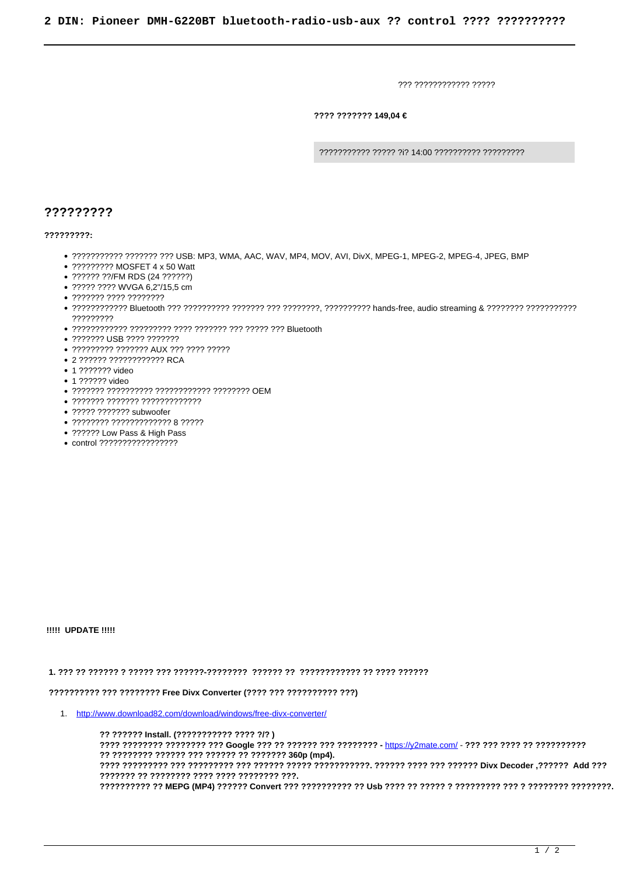??? ???????????? ?????

???? ??????? 149,04 €

??????????? ????? ?i? 14:00 ?????????? ?????????

## ?????????

 $22222222.$ 

- . ??????????? ??????? ??? USB: MP3, WMA, AAC, WAV, MP4, MOV, AVI, DivX, MPEG-1, MPEG-2, MPEG-4, JPEG, BMP
- ????????? MOSFET 4 x 50 Watt
- ?????? ??/FM RDS (24 ??????)
- ????? ???? WVGA 6,2"/15,5 cm
- $\bullet$  ??????? ???? ?????????
- ?????????
- 
- 2222222 USB 2222 2222222
- ????????? ??????? AUX ??? ???? ?????
- 2 ?????? ???????????? RCA
- 1 ??????? video
- 1 ?????? video
- 
- $\bullet$  ??????? ??????? ?????????????
- ????? ??????? subwoofer
- $\bullet$  ???????? ????????????? 8 ?????
- ?????? Low Pass & High Pass
- control ?????????????????

**!!!!! UPDATE !!!!!** 

## 

## ?????????? ??? ???????? Free Divx Converter (???? ??? ?????????? ???)

1. http://www.download82.com/download/windows/free-divx-converter/

?? ?????? Install. (??????????? ???? ?/?) ???? ???????? ???????? ??? Google ??? ?????? ??? ???????? - https://y2mate.com/ - ??? ??? ??? ??? ???????????? ??????? ?? ???????? ???? ???? ???????? ???.